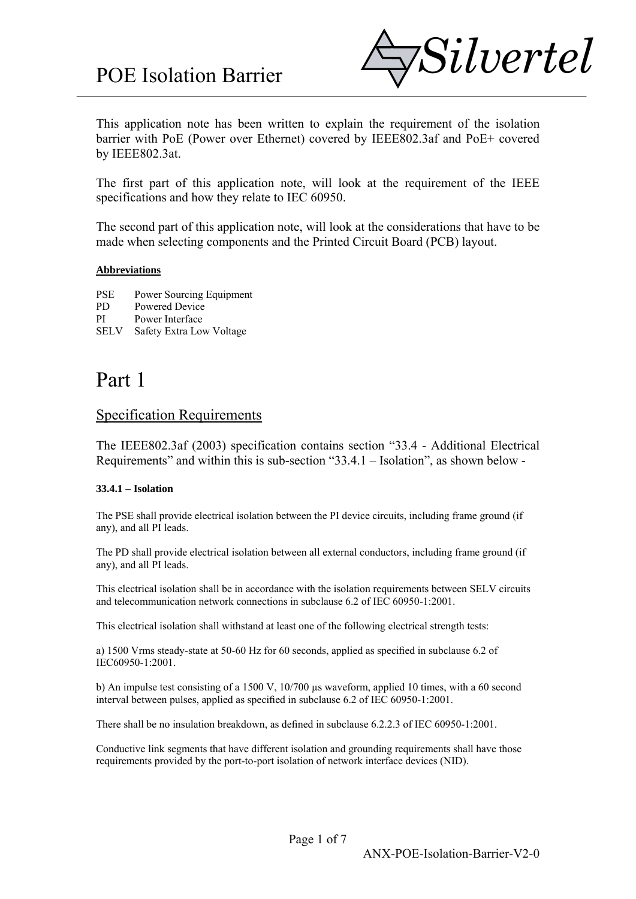

This application note has been written to explain the requirement of the isolation barrier with PoE (Power over Ethernet) covered by IEEE802.3af and PoE+ covered by IEEE802.3at.

The first part of this application note, will look at the requirement of the IEEE specifications and how they relate to IEC 60950.

The second part of this application note, will look at the considerations that have to be made when selecting components and the Printed Circuit Board (PCB) layout.

#### **Abbreviations**

PSE Power Sourcing Equipment

- PD Powered Device
- PI Power Interface
- SELV Safety Extra Low Voltage

# Part 1

#### Specification Requirements

The IEEE802.3af (2003) specification contains section "33.4 - Additional Electrical Requirements" and within this is sub-section "33.4.1 – Isolation", as shown below -

#### **33.4.1 – Isolation**

The PSE shall provide electrical isolation between the PI device circuits, including frame ground (if any), and all PI leads.

The PD shall provide electrical isolation between all external conductors, including frame ground (if any), and all PI leads.

This electrical isolation shall be in accordance with the isolation requirements between SELV circuits and telecommunication network connections in subclause 6.2 of IEC 60950-1:2001.

This electrical isolation shall withstand at least one of the following electrical strength tests:

a) 1500 Vrms steady-state at 50-60 Hz for 60 seconds, applied as specified in subclause 6.2 of IEC60950-1:2001.

b) An impulse test consisting of a 1500 V, 10/700 µs waveform, applied 10 times, with a 60 second interval between pulses, applied as specified in subclause 6.2 of IEC 60950-1:2001.

There shall be no insulation breakdown, as defined in subclause 6.2.2.3 of IEC 60950-1:2001.

Conductive link segments that have different isolation and grounding requirements shall have those requirements provided by the port-to-port isolation of network interface devices (NID).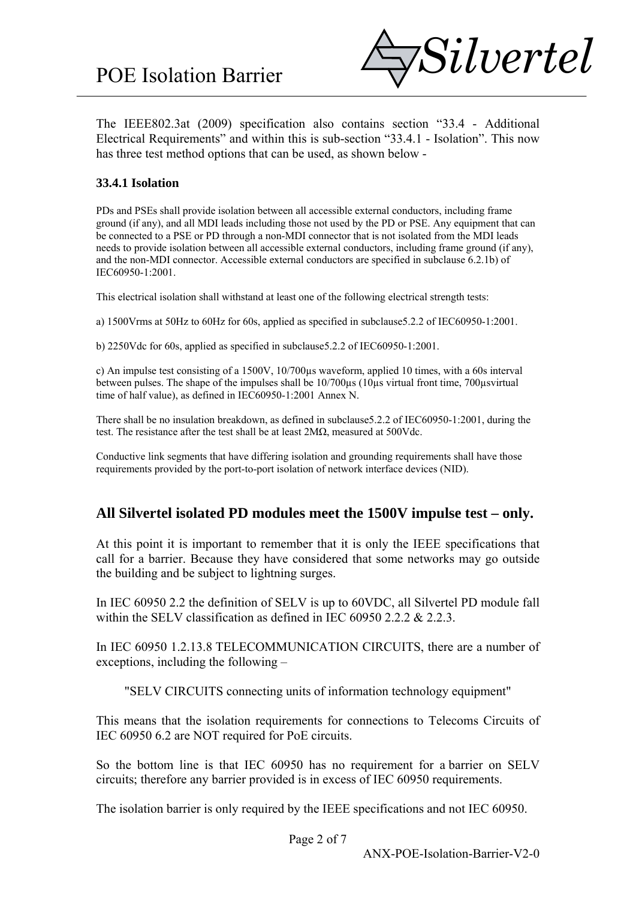

The IEEE802.3at (2009) specification also contains section "33.4 - Additional Electrical Requirements" and within this is sub-section "33.4.1 - Isolation". This now has three test method options that can be used, as shown below -

#### **33.4.1 Isolation**

PDs and PSEs shall provide isolation between all accessible external conductors, including frame ground (if any), and all MDI leads including those not used by the PD or PSE. Any equipment that can be connected to a PSE or PD through a non-MDI connector that is not isolated from the MDI leads needs to provide isolation between all accessible external conductors, including frame ground (if any), and the non-MDI connector. Accessible external conductors are specified in subclause 6.2.1b) of IEC60950-1:2001.

This electrical isolation shall withstand at least one of the following electrical strength tests:

a) 1500Vrms at 50Hz to 60Hz for 60s, applied as specified in subclause5.2.2 of IEC60950-1:2001.

b) 2250Vdc for 60s, applied as specified in subclause5.2.2 of IEC60950-1:2001.

c) An impulse test consisting of a 1500V, 10/700µs waveform, applied 10 times, with a 60s interval between pulses. The shape of the impulses shall be 10/700µs (10µs virtual front time, 700µsvirtual time of half value), as defined in IEC60950-1:2001 Annex N.

There shall be no insulation breakdown, as defined in subclause5.2.2 of IEC60950-1:2001, during the test. The resistance after the test shall be at least 2MΩ, measured at 500Vdc.

Conductive link segments that have differing isolation and grounding requirements shall have those requirements provided by the port-to-port isolation of network interface devices (NID).

#### **All Silvertel isolated PD modules meet the 1500V impulse test – only.**

At this point it is important to remember that it is only the IEEE specifications that call for a barrier. Because they have considered that some networks may go outside the building and be subject to lightning surges.

In IEC 60950 2.2 the definition of SELV is up to 60VDC, all Silvertel PD module fall within the SELV classification as defined in IEC 60950 2.2.2 & 2.2.3.

In IEC 60950 1.2.13.8 TELECOMMUNICATION CIRCUITS, there are a number of exceptions, including the following –

"SELV CIRCUITS connecting units of information technology equipment"

This means that the isolation requirements for connections to Telecoms Circuits of IEC 60950 6.2 are NOT required for PoE circuits.

So the bottom line is that IEC 60950 has no requirement for a barrier on SELV circuits; therefore any barrier provided is in excess of IEC 60950 requirements.

The isolation barrier is only required by the IEEE specifications and not IEC 60950.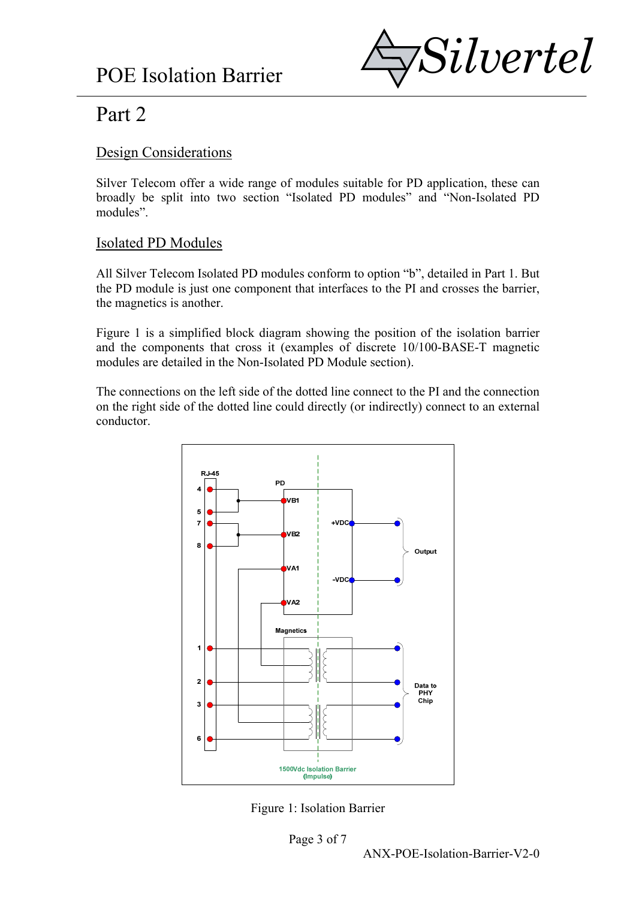

# Part 2

### Design Considerations

Silver Telecom offer a wide range of modules suitable for PD application, these can broadly be split into two section "Isolated PD modules" and "Non-Isolated PD modules".

## Isolated PD Modules

All Silver Telecom Isolated PD modules conform to option "b", detailed in Part 1. But the PD module is just one component that interfaces to the PI and crosses the barrier, the magnetics is another.

Figure 1 is a simplified block diagram showing the position of the isolation barrier and the components that cross it (examples of discrete 10/100-BASE-T magnetic modules are detailed in the Non-Isolated PD Module section).

The connections on the left side of the dotted line connect to the PI and the connection on the right side of the dotted line could directly (or indirectly) connect to an external conductor.



Figure 1: Isolation Barrier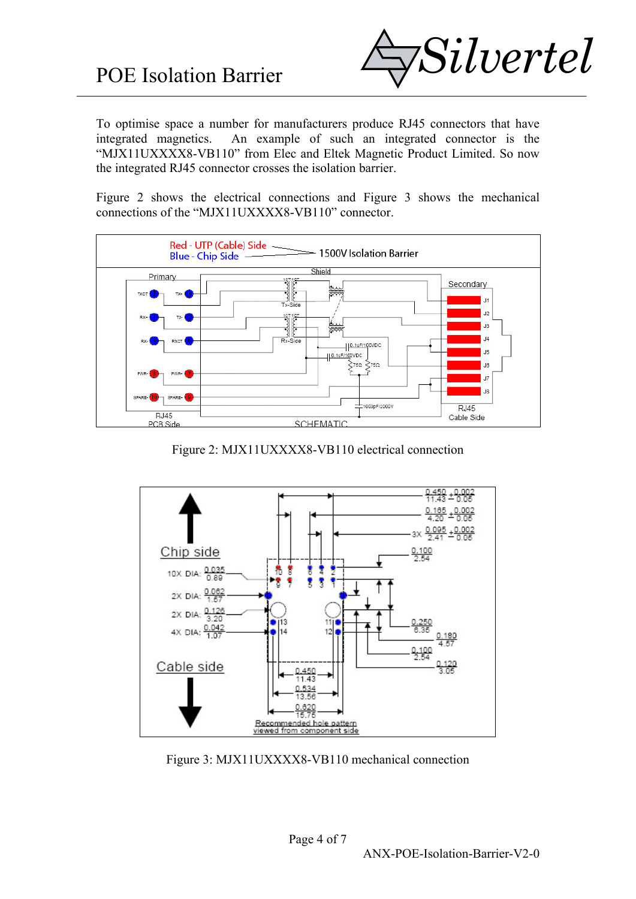

To optimise space a number for manufacturers produce RJ45 connectors that have integrated magnetics. An example of such an integrated connector is the "MJX11UXXXX8-VB110" from Elec and Eltek Magnetic Product Limited. So now the integrated RJ45 connector crosses the isolation barrier.

Figure 2 shows the electrical connections and Figure 3 shows the mechanical connections of the "MJX11UXXXX8-VB110" connector.



Figure 2: MJX11UXXXX8-VB110 electrical connection



Figure 3: MJX11UXXXX8-VB110 mechanical connection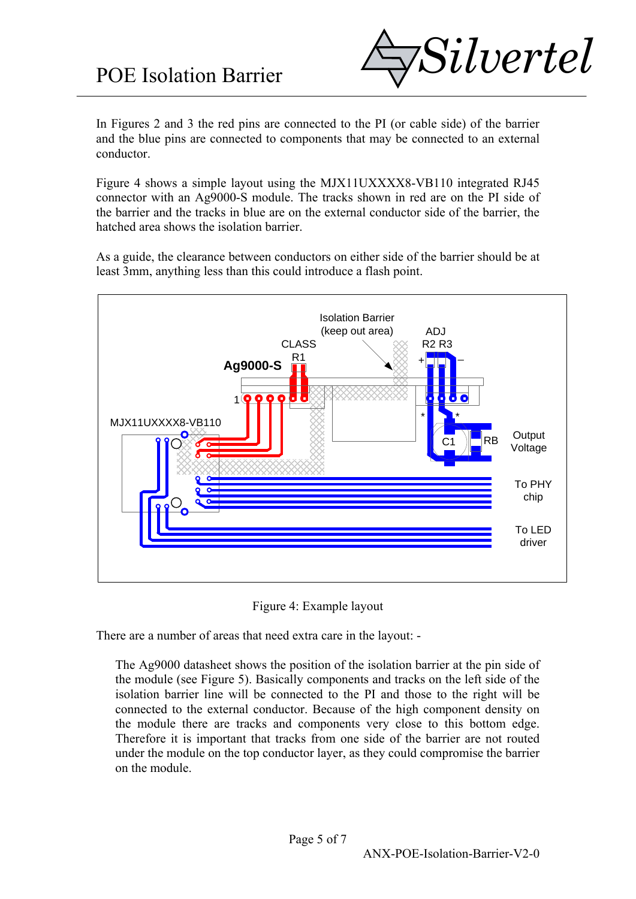

In Figures 2 and 3 the red pins are connected to the PI (or cable side) of the barrier and the blue pins are connected to components that may be connected to an external conductor.

Figure 4 shows a simple layout using the MJX11UXXXX8-VB110 integrated RJ45 connector with an Ag9000-S module. The tracks shown in red are on the PI side of the barrier and the tracks in blue are on the external conductor side of the barrier, the hatched area shows the isolation barrier.

As a guide, the clearance between conductors on either side of the barrier should be at least 3mm, anything less than this could introduce a flash point.



Figure 4: Example layout

There are a number of areas that need extra care in the layout: -

The Ag9000 datasheet shows the position of the isolation barrier at the pin side of the module (see Figure 5). Basically components and tracks on the left side of the isolation barrier line will be connected to the PI and those to the right will be connected to the external conductor. Because of the high component density on the module there are tracks and components very close to this bottom edge. Therefore it is important that tracks from one side of the barrier are not routed under the module on the top conductor layer, as they could compromise the barrier on the module.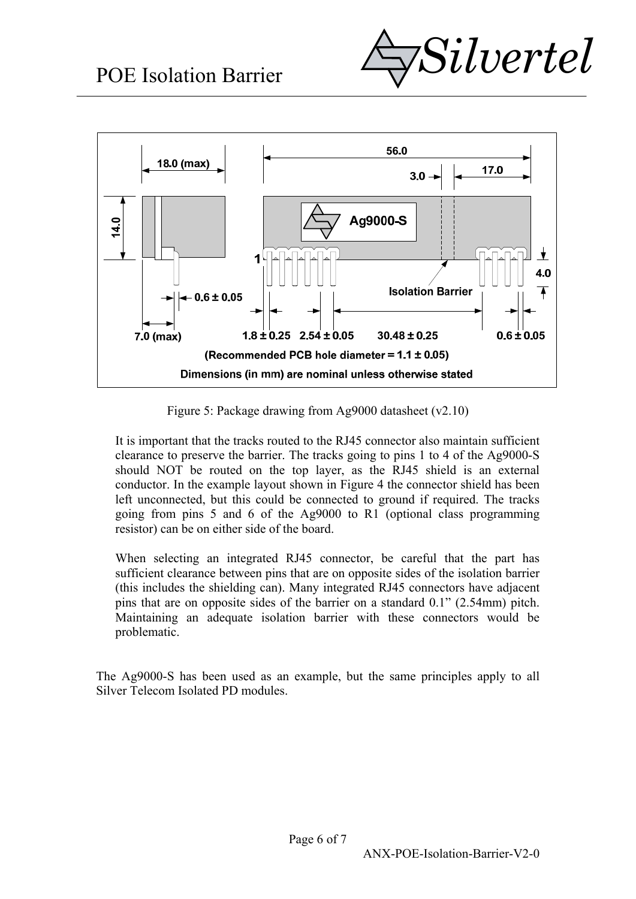



Figure 5: Package drawing from Ag9000 datasheet (v2.10)

It is important that the tracks routed to the RJ45 connector also maintain sufficient clearance to preserve the barrier. The tracks going to pins 1 to 4 of the Ag9000-S should NOT be routed on the top layer, as the RJ45 shield is an external conductor. In the example layout shown in Figure 4 the connector shield has been left unconnected, but this could be connected to ground if required. The tracks going from pins 5 and 6 of the Ag9000 to R1 (optional class programming resistor) can be on either side of the board.

When selecting an integrated RJ45 connector, be careful that the part has sufficient clearance between pins that are on opposite sides of the isolation barrier (this includes the shielding can). Many integrated RJ45 connectors have adjacent pins that are on opposite sides of the barrier on a standard 0.1" (2.54mm) pitch. Maintaining an adequate isolation barrier with these connectors would be problematic.

The Ag9000-S has been used as an example, but the same principles apply to all Silver Telecom Isolated PD modules.